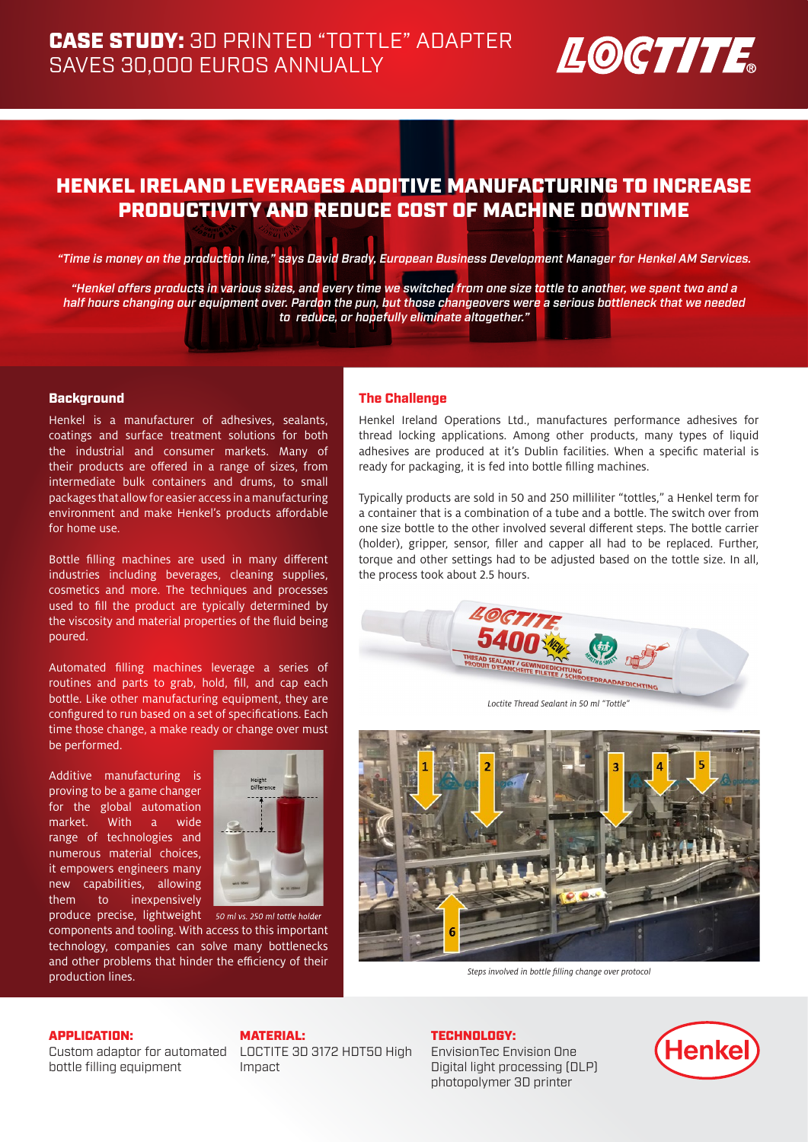

# HENKEL IRELAND LEVERAGES ADDITIVE MANUFACTURING TO INCREASE PRODUCTIVITY AND REDUCE COST OF MACHINE DOWNTIME

"Time is money on the production line," says David Brady, European Business Development Manager for Henkel AM Services.

"Henkel offers products in various sizes, and every time we switched from one size tottle to another, we spent two and a half hours changing our equipment over. Pardon the pun, but those changeovers were a serious bottleneck that we needed to reduce, or hopefully eliminate altogether."

### **Background**

Henkel is a manufacturer of adhesives, sealants, coatings and surface treatment solutions for both the industrial and consumer markets. Many of their products are offered in a range of sizes, from intermediate bulk containers and drums, to small packages that allow for easier access in a manufacturing environment and make Henkel's products affordable for home use.

Bottle filling machines are used in many different industries including beverages, cleaning supplies, cosmetics and more. The techniques and processes used to fill the product are typically determined by the viscosity and material properties of the fluid being poured.

Automated filling machines leverage a series of routines and parts to grab, hold, fill, and cap each bottle. Like other manufacturing equipment, they are configured to run based on a set of specifications. Each time those change, a make ready or change over must be performed.

Additive manufacturing is proving to be a game changer for the global automation market. With a wide range of technologies and numerous material choices, it empowers engineers many new capabilities, allowing them to inexpensively



produce precise, lightweight *50 ml vs. 250 ml tottle holder*components and tooling. With access to this important technology, companies can solve many bottlenecks and other problems that hinder the efficiency of their production lines. *Steps involved in bottle filling change over protocol*

# The Challenge

Henkel Ireland Operations Ltd., manufactures performance adhesives for thread locking applications. Among other products, many types of liquid adhesives are produced at it's Dublin facilities. When a specific material is ready for packaging, it is fed into bottle filling machines.

Typically products are sold in 50 and 250 milliliter "tottles," a Henkel term for a container that is a combination of a tube and a bottle. The switch over from one size bottle to the other involved several different steps. The bottle carrier (holder), gripper, sensor, filler and capper all had to be replaced. Further, torque and other settings had to be adjusted based on the tottle size. In all, the process took about 2.5 hours.



*Loctite Thread Sealant in 50 ml "Tottle"*



# APPLICATION:

Custom adaptor for automated LOCTITE 3D 3172 HDT50 High bottle filling equipment

MATERIAL:

Impact

#### TECHNOLOGY:

EnvisionTec Envision One Digital light processing (DLP) photopolymer 3D printer

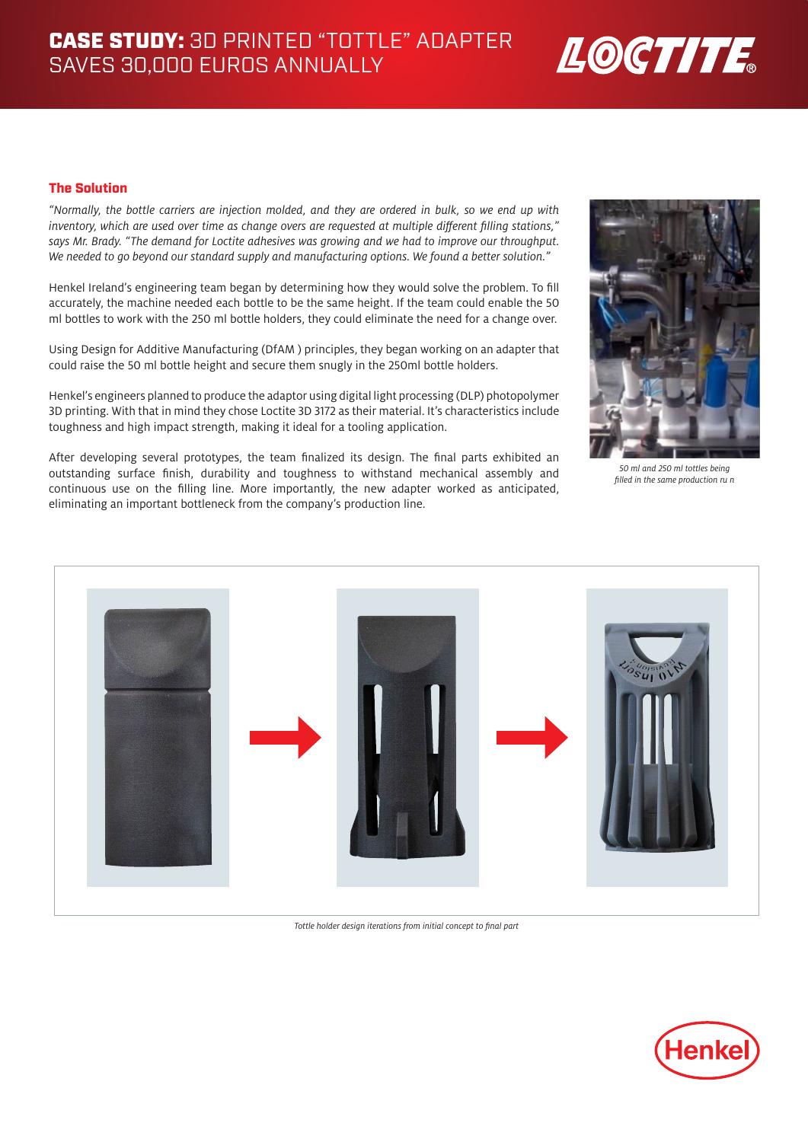

# The Solution

*"Normally, the bottle carriers are injection molded, and they are ordered in bulk, so we end up with inventory, which are used over time as change overs are requested at multiple different filling stations," says Mr. Brady. "The demand for Loctite adhesives was growing and we had to improve our throughput. We needed to go beyond our standard supply and manufacturing options. We found a better solution."*

Henkel Ireland's engineering team began by determining how they would solve the problem. To fill accurately, the machine needed each bottle to be the same height. If the team could enable the 50 ml bottles to work with the 250 ml bottle holders, they could eliminate the need for a change over.

Using Design for Additive Manufacturing (DfAM ) principles, they began working on an adapter that could raise the 50 ml bottle height and secure them snugly in the 250ml bottle holders.

Henkel's engineers planned to produce the adaptor using digital light processing (DLP) photopolymer 3D printing. With that in mind they chose Loctite 3D 3172 as their material. It's characteristics include toughness and high impact strength, making it ideal for a tooling application.

After developing several prototypes, the team finalized its design. The final parts exhibited an outstanding surface finish, durability and toughness to withstand mechanical assembly and continuous use on the filling line. More importantly, the new adapter worked as anticipated, eliminating an important bottleneck from the company's production line.



*50 ml and 250 ml tottles being filled in the same production ru n*



*Tottle holder design iterations from initial concept to final part*